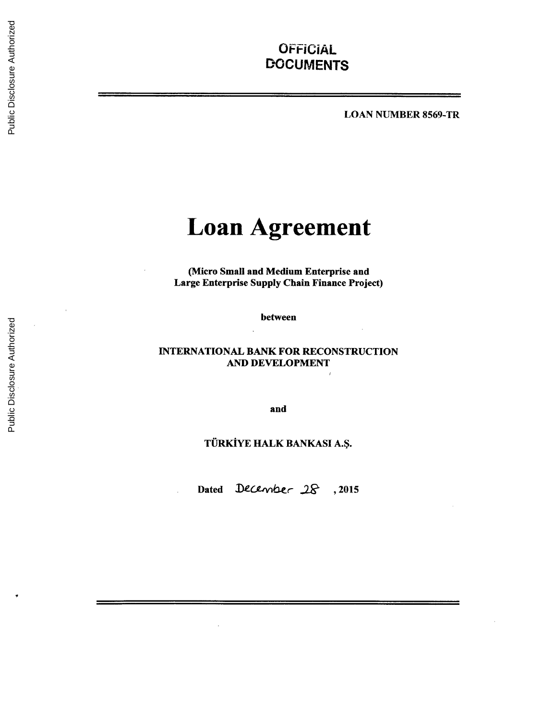## **OFFICIAL DOCUMENTS**

**LOAN** NUMBER 8569-TR

# **Loan Agreement**

(Micro Small and Medium Enterprise and Large Enterprise Supply Chain Finance Project)

between

#### **INTERNATIONAL** BANK FOR **RECONSTRUCTION AND DEVELOPMENT**

and

## TURKIYE HALK **BANKASI A.\$.**

Dated December<sub>28</sub>, 2015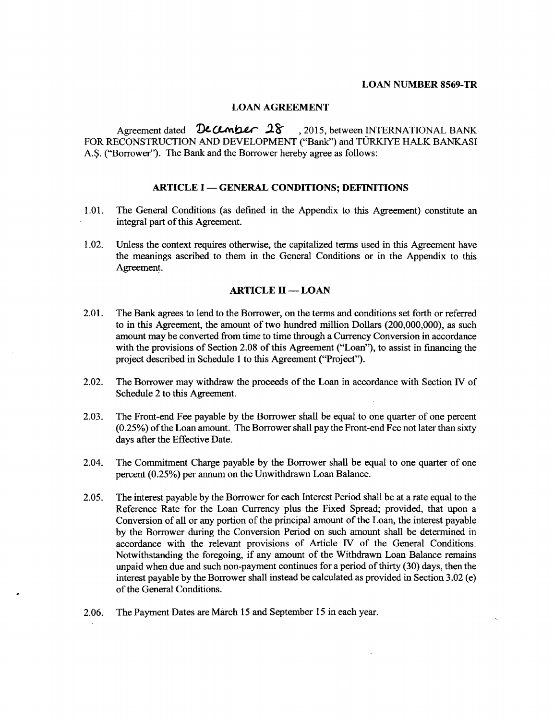#### **LOAN NUMBER 8569-TR**

#### **LOAN AGREEMENT**

Agreement dated **December 28**, 2015, between **INTERNATIONAL BANK** FOR **RECONSTRUCTION AND DEVELOPMENT** ("Bank") and TURKIYE HALK **BANKASI A.\$.** ("Borrower"). The Bank and the Borrower hereby agree as follows:

#### **ARTICLE I - GENERAL CONDITIONS; DEFINITIONS**

- **1.01.** The General Conditions (as defined in the Appendix to this Agreement) constitute an integral part of this Agreement.
- 1.02. Unless the context requires otherwise, the capitalized terms used in this Agreement have the meanings ascribed to them in the General Conditions or in the Appendix to this Agreement.

#### **ARTICLE II - LOAN**

- 2.01. The Bank agrees to lend to the Borrower, on the terms and conditions set forth or referred to in this Agreement, the amount of two hundred million Dollars (200,000,000), as such amount may be converted from time to time through a Currency Conversion in accordance with the provisions of Section **2.08** of this Agreement ("Loan"), to assist in financing the project described in Schedule 1 to this Agreement ("Project").
- 2.02. The Borrower may withdraw the proceeds of the Loan in accordance with Section IV of Schedule 2 to this Agreement.
- **2.03.** The Front-end Fee payable **by** the Borrower shall be equal to one quarter of one percent **(0.25%)** of the Loan amount. The Borrower shall pay the Front-end Fee not later than sixty days after the Effective Date.
- 2.04. The Commitment Charge payable **by** the Borrower shall be equal to one quarter of one percent *(0.25%)* per annum on the Unwithdrawn Loan Balance.
- **2.05.** The interest payable **by** the Borrower for each Interest Period shall be at a rate equal to the Reference Rate for the Loan Currency plus the Fixed Spread; provided, that upon a Conversion of all or any portion of the principal amount of the Loan, the interest payable **by** the Borrower during the Conversion Period on such amount shall be determined in accordance with the relevant provisions of Article IV of the General Conditions. Notwithstanding the foregoing, if any amount of the Withdrawn Loan Balance remains unpaid when due and such non-payment continues for a period of thirty **(30)** days, then the interest payable **by** the Borrower shall instead be calculated as provided in Section **3.02** (e) of the General Conditions.
- **2.06.** The Payment Dates are March **15** and September **15** in each year.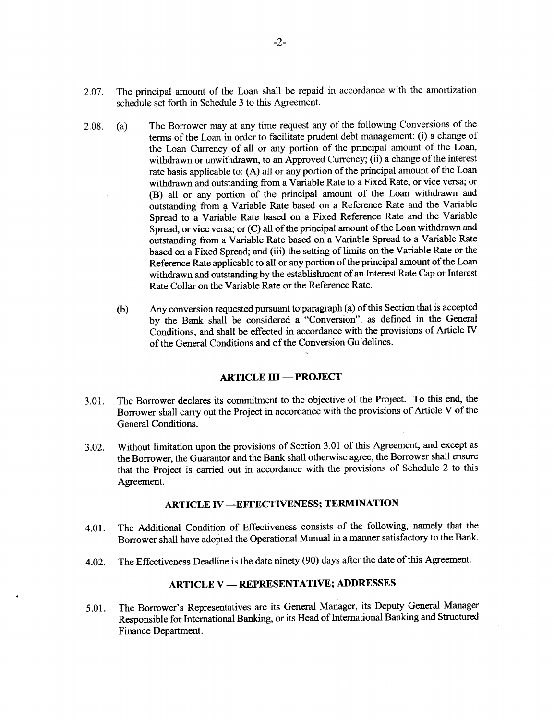- **2.07.** The principal amount of the Loan shall be repaid in accordance with the amortization schedule set forth in Schedule **3** to this Agreement.
- **2.08.** (a) The Borrower may at any time request any of the following Conversions of the terms of the Loan in order to facilitate prudent debt management: (i) a change of the Loan Currency of all or any portion of the principal amount of the Loan, withdrawn or unwithdrawn, to an Approved Currency; (ii) a change of the interest rate basis applicable to: **(A)** all or any portion of the principal amount of the Loan withdrawn and outstanding from a Variable Rate to a Fixed Rate, or vice versa; or (B) all or any portion of the principal amount of the Loan withdrawn and outstanding from a Variable Rate based on a Reference Rate and the Variable Spread to a Variable Rate based on a Fixed Reference Rate and the Variable Spread, or vice versa; or **(C)** all of the principal amount of the Loan withdrawn and outstanding from a Variable Rate based on a Variable Spread to a Variable Rate .based on a Fixed Spread; and (iii) the setting of limits on the Variable Rate or the Reference Rate applicable to all or any portion of the principal amount of the Loan withdrawn and outstanding **by** the establishment of an Interest Rate Cap or Interest Rate Collar on the Variable Rate or the Reference Rate.
	- **(b)** Any conversion requested pursuant to paragraph (a) of this Section that is accepted **by** the Bank shall be considered a "Conversion", as defined in the General Conditions, and shall be effected in accordance with the provisions of Article **IV** of the General Conditions and of the Conversion Guidelines.

#### **ARTICLE III - PROJECT**

- **3.01.** The Borrower declares its commitment to the objective of the Project. To this end, the Borrower shall carry out the Project in accordance with the provisions of Article V of the General Conditions.
- **3.02.** Without limitation upon the provisions of Section **3.01** of this Agreement, and except as the Borrower, the Guarantor and the Bank shall otherwise agree, the Borrower shall ensure that the Project is carried out in accordance with the provisions of Schedule 2 to this Agreement.

## **ARTICLE IV -EFFECTIVENESS; TERMINATION**

- 4.01. The Additional Condition of Effectiveness consists of the following, namely that the Borrower shall have adopted the Operational Manual in a manner satisfactory to the Bank.
- 4.02. The Effectiveness Deadline is the date ninety **(90)** days after the date of this Agreement.

## **ARTICLE V - REPRESENTATIVE; ADDRESSES**

*5.01.* The Borrower's Representatives are its General Manager, its Deputy General Manager Responsible for International Banking, or its Head of International Banking and Structured Finance Department.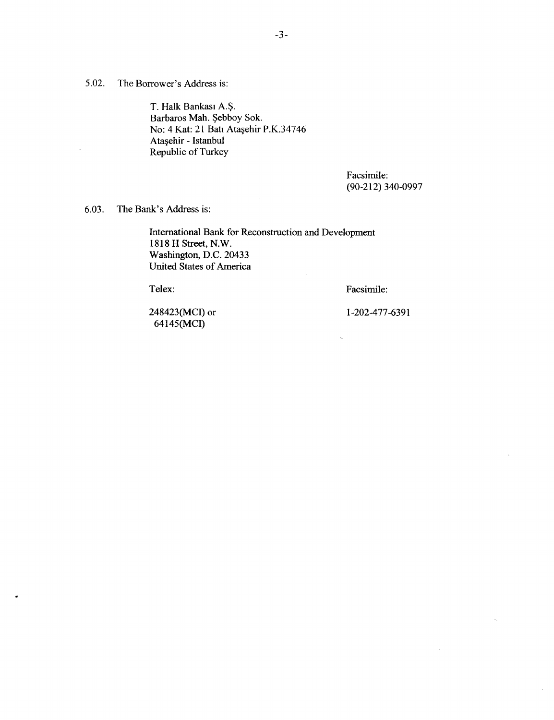**5.02.** The Borrower's Address is:

T. Halk Bankasi **A.\$.** Barbaros Mah. Şebboy Sok. No: 4 Kat: 21 Batı Ataşehir P.K.34746 Ata ehir **-** Istanbul Republic of Turkey

> Facsimile: **(90-212) 340-0997**

**6.03.** The Bank's Address is:

International Bank for Reconstruction and Development **1818** H Street, N.W. Washington, **D.C.** 20433 United States of America

Telex: Facsimile:

 $\ddot{\phantom{a}}$ 

248423(MCI) or **1-202-477-6391** 64145(MCI)

k,

 $\bar{z}$ 

 $\mathbb{R}^2$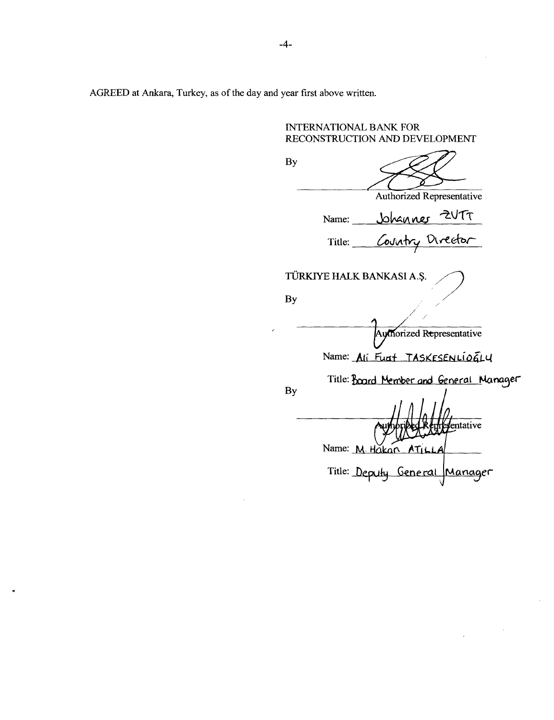AGREED at Ankara, Turkey, as of the day and year first above written.

**INTERNATIONAL** BANK FOR **RECONSTRUCTION AND DEVELOPMENT By** Authorized Representative Name: <u>Johanner</u> ZUTT Title: Country Director TORKIYE HALK **BANKASI A.\$. By** Authorized Representative Name: Ali Funt TASKESENLIOGLY Title: Board Member and General Manager **By** entative Name: M. Hakan AT Title: Deputy General Manager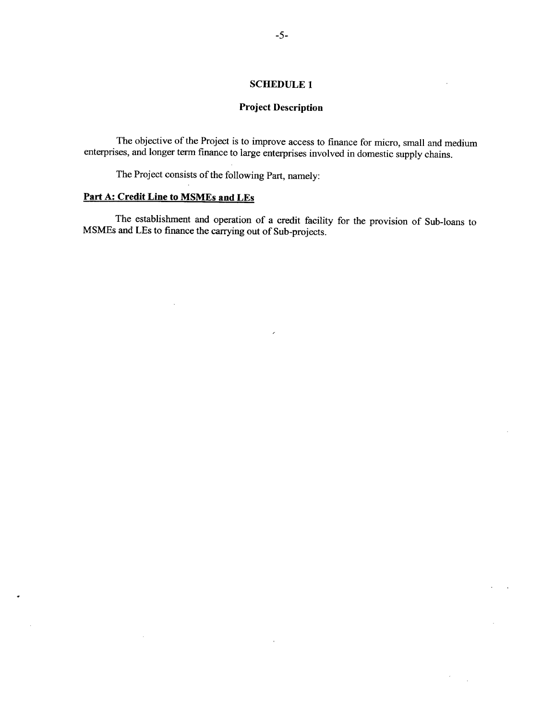### **SCHEDULE 1**

## **Project Description**

The objective of the Project is to improve access to finance for micro, small and medium enterprises, and longer term finance to large enterprises involved in domestic supply chains.

The Project consists of the following Part, namely:

#### **Part A: Credit Line to MSMEs and LEs**

 $\sim 10^7$ 

 $\sim 10^{-1}$ 

 $\mathcal{A}^{\mathcal{A}}$ 

The establishment and operation of a credit facility for the provision of Sub-loans to MSMEs and LEs to finance the carrying out of Sub-projects.

 $\mathcal{A}$ 

ú.

 $\mathcal{L}$  $\ddot{\phantom{a}}$ 

 $\mathcal{A}^{\pm}$  $\sim 1$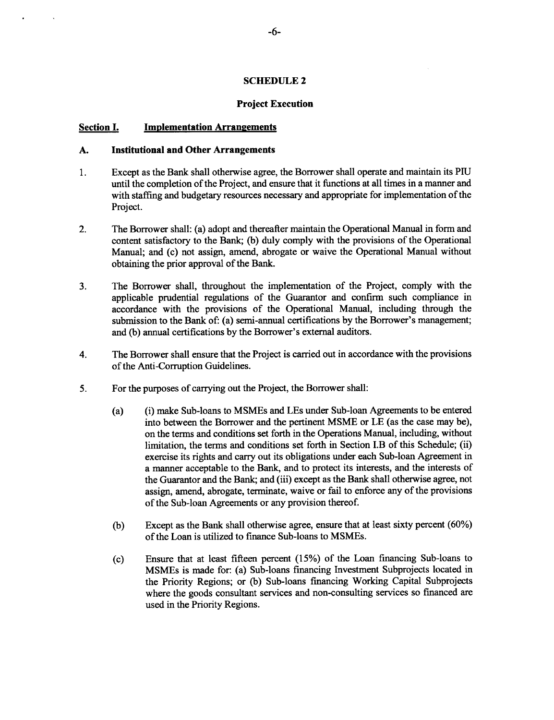#### **SCHEDULE 2**

#### **Project Execution**

#### **Section I. Implementation Arrangements**

#### **A. Institutional and Other Arrangements**

- **1.** Except as the Bank shall otherwise agree, the Borrower shall operate and maintain its **PIU** until the completion of the Project, and ensure that it functions at all times in a manner and with staffing and budgetary resources necessary and appropriate for implementation of the Project.
- 2. The Borrower shall: (a) adopt and thereafter maintain the Operational Manual in form and content satisfactory to the Bank; **(b)** duly comply with the provisions of the Operational Manual; and (c) not assign, amend, abrogate or waive the Operational Manual without obtaining the prior approval of the Bank.
- **3.** The Borrower shall, throughout the implementation of the Project, comply with the applicable prudential regulations of the Guarantor and confirm such compliance in accordance with the provisions of the Operational Manual, including through the submission to the Bank of: (a) semi-annual certifications **by** the Borrower's management; and **(b)** annual certifications **by** the Borrower's external auditors.
- 4. The Borrower shall ensure that the Project is carried out in accordance with the provisions of the Anti-Corruption Guidelines.
- *5.* For the purposes of carrying out the Project, the Borrower shall:
	- (a) (i) make Sub-loans to MSMEs and LEs under Sub-loan Agreements to be entered into between the Borrower and the pertinent **MSME** or **LE** (as the case may be), on the terms and conditions set forth in the Operations Manual, including, without limitation, the terms and conditions set forth in Section I.B of this Schedule; (ii) exercise its rights and carry out its obligations under each Sub-loan Agreement in a manner acceptable to the Bank, and to protect its interests, and the interests of the Guarantor and the Bank; and (iii) except as the Bank shall otherwise agree, not assign, amend, abrogate, terminate, waive or fail to enforce any of the provisions of the Sub-loan Agreements or any provision thereof.
	- **(b)** Except as the Bank shall otherwise agree, ensure that at least sixty percent **(60%)** of the Loan is utilized to finance Sub-loans to MSMEs.
	- **(c)** Ensure that at least fifteen percent **(15%)** of the Loan financing Sub-loans to MSMEs is made for: (a) Sub-loans financing Investment Subprojects located in the Priority Regions; or **(b)** Sub-loans financing Working Capital Subprojects where the goods consultant services and non-consulting services so financed are used in the Priority Regions.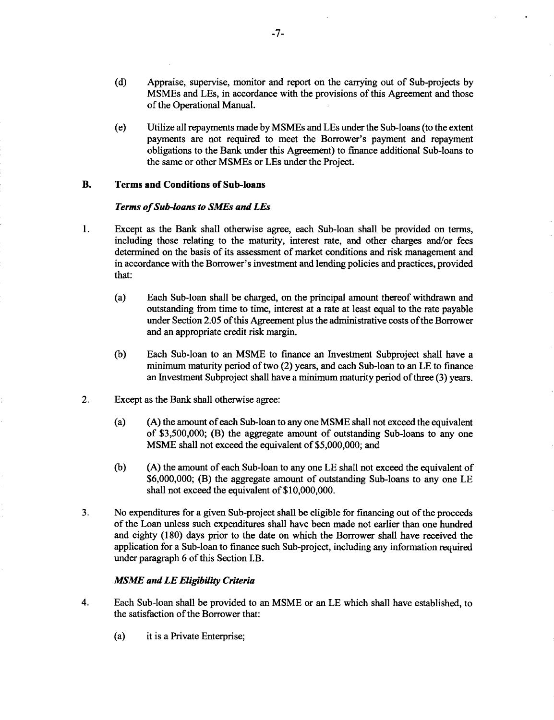- **(d)** Appraise, supervise, monitor and report on the carrying out of Sub-projects **by** MSMEs and LEs, in accordance with the provisions of this Agreement and those of the Operational Manual.
- (e) Utilize all repayments made **by** MSMEs and LEs under the Sub-loans (to the extent payments are not required to meet the Borrower's payment and repayment obligations to the Bank under this Agreement) to finance additional Sub-loans to the same or other MSMEs or LEs under the Project.

#### B. **Terms and Conditions of Sub-loans**

#### *Terms of Sub-loans to SMEs and LEs*

- 1. Except as the Bank shall otherwise agree, each Sub-loan shall be provided on terms, including those relating to the maturity, interest rate, and other charges and/or fees determined on the basis of its assessment of market conditions and risk management and in accordance with the Borrower's investment and lending policies and practices, provided that:
	- (a) Each Sub-loan shall be charged, on the principal amount thereof withdrawn and outstanding from time to time, interest at a rate at least equal to the rate payable under Section **2.05** of this Agreement plus the administrative costs of the Borrower and an appropriate credit risk margin.
	- **(b)** Each Sub-loan to an **MSME** to finance an Investment Subproject shall have a minimum maturity period of two (2) years, and each Sub-loan to an **LE** to finance an Investment Subproject shall have a minimum maturity period of three **(3)** years.
- 2. Except as the Bank shall otherwise agree:
	- (a) **(A)** the amount of each Sub-loan to any one **MSME** shall not exceed the equivalent of **\$3,500,000;** (B) the aggregate amount of outstanding Sub-loans to any one **MSME** shall not exceed the equivalent of **\$5,000,000;** and
	- **(b) (A)** the amount of each Sub-loan to any one **LE** shall not exceed the equivalent of **\$6,000,000;** (B) the aggregate amount of outstanding Sub-loans to any one **LE** shall not exceed the equivalent of **\$10,000,000.**
- **3.** No expenditures for a given Sub-project shall be eligible for financing out of the proceeds of the Loan unless such expenditures shall have been made not earlier than one hundred and eighty **(180)** days prior to the date on which the Borrower shall have received the application for a Sub-loan to finance such Sub-project, including any information required under paragraph **6** of this Section I.B.

#### *MSME and LE Eligibility Criteria*

- 4. Each Sub-loan shall be provided to an **MSME** or an **LE** which shall have established, to the satisfaction of the Borrower that:
	- (a) it is a Private Enterprise;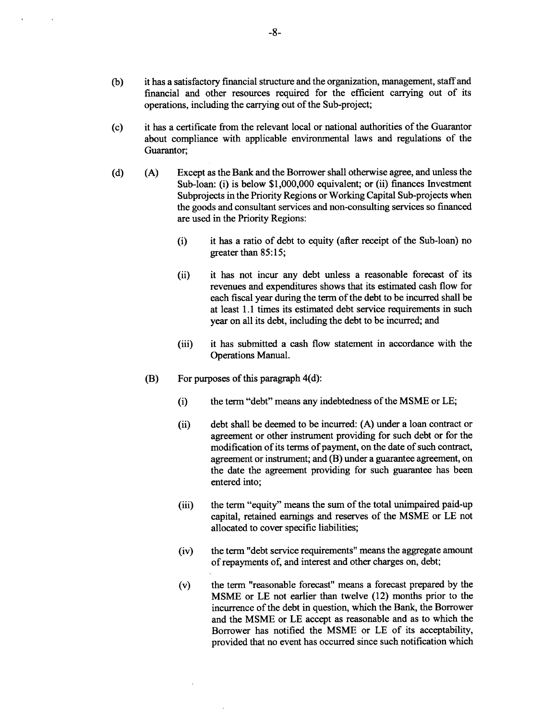- **(b)** it has a satisfactory financial structure and the organization, management, staff and financial and other resources required for the efficient carrying out of its operations, including the carrying out of the Sub-project;
- **(c)** it has a certificate from the relevant local or national authorities of the Guarantor about compliance with applicable environmental laws and regulations of the Guarantor;
- **(d) (A)** Except as the Bank and the Borrower shall otherwise agree, and unless the Sub-loan: (i) is below **\$1,000,000** equivalent; or (ii) finances Investment Subprojects in the Priority Regions or Working Capital Sub-projects when the goods and consultant services and non-consulting services so financed are used in the Priority Regions:
	- (i) it has a ratio of debt to equity (after receipt of the Sub-loan) no greater than *85:15;*
	- (ii) it has not incur any debt unless a reasonable forecast of its revenues and expenditures shows that its estimated cash flow for each fiscal year during the term of the debt to be incurred shall be at least **1.1** times its estimated debt service requirements in such year on all its debt, including the debt to be incurred; and
	- (iii) it has submitted a cash flow statement in accordance with the Operations Manual.
	- (B) For purposes of this paragraph 4(d):
		- (i) the term "debt" means any indebtedness of the **MSME** or **LE;**
		- (ii) debt shall be deemed to be incurred: **(A)** under a loan contract or agreement or other instrument providing for such debt or for the modification of its terms of payment, on the date of such contract, agreement or instrument; and (B) under a guarantee agreement, on the date the agreement providing for such guarantee has been entered into;
		- (iii) the term "equity" means the sum of the total unimpaired paid-up capital, retained earnings and reserves of the **MSME** or **LE** not allocated to cover specific liabilities;
		- (iv) the term "debt service requirements" means the aggregate amount of repayments of, and interest and other charges on, debt;
		- (v) the term "reasonable forecast" means a forecast prepared **by** the **MSME** or **LE** not earlier than twelve (12) months prior to the incurrence of the debt in question, which the Bank, the Borrower and the **MSME** or **LE** accept as reasonable and as to which the Borrower has notified the **MSME** or **LE** of its acceptability, provided that no event has occurred since such notification which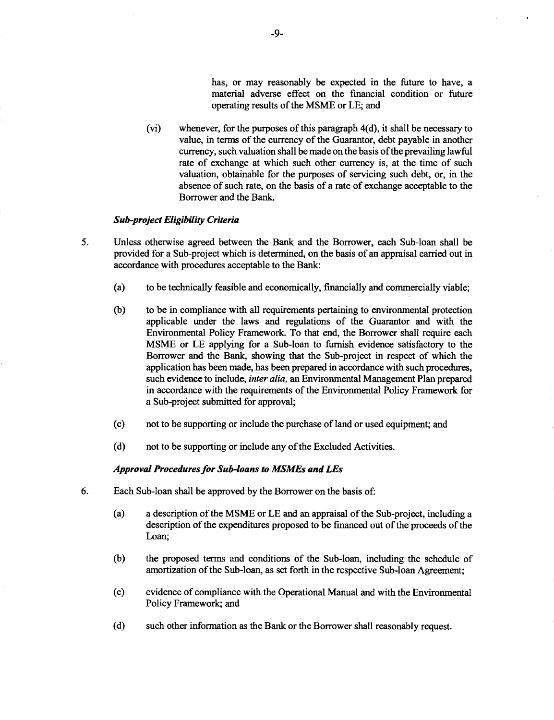has, or may reasonably be expected in the future to have, a material adverse effect on the financial condition or future operating results of the **MSME** or **LE;** and

(vi) whenever, for the purposes of this paragraph 4(d), it shall be necessary to value, in terms of the currency of the Guarantor, debt payable in another currency, such valuation shall be made on the basis of the prevailing lawful rate of exchange at which such other currency is, at the time of such valuation, obtainable for the purposes of servicing such debt, or, in the absence of such rate, on the basis of a rate of exchange acceptable to the Borrower and the Bank.

#### *Sub-project Eligibility Criteria*

- *5.* Unless otherwise agreed between the Bank and the Borrower, each Sub-loan shall be provided for a Sub-project which is determined, on the basis of an appraisal carried out in accordance with procedures acceptable to the Bank:
	- (a) to be technically feasible and economically, financially and commercially viable;
	- **(b)** to be in compliance with all requirements pertaining to environmental protection applicable under the laws and regulations of the Guarantor and with the Environmental Policy Framework. To that end, the Borrower shall require each **MSME** or **LE** applying for a Sub-loan to furnish evidence satisfactory to the Borrower and the Bank, showing that the Sub-project in respect of which the application has been made, has been prepared in accordance with such procedures, such evidence to include, *inter alia,* an Environmental Management Plan prepared in accordance with the requirements of the Environmental Policy Framework for a Sub-project submitted for approval;
	- (c) not to be supporting or include the purchase of land or used equipment; and
	- **(d)** not to be supporting or include any of the Excluded Activities.

#### *Approval Procedures for Sub-loans to MSMEs and LEs*

- **6.** Each Sub-loan shall be approved **by** the Borrower on the basis of:
	- (a) a description of the **MSME** or **LE** and an appraisal of the Sub-project, including a description of the expenditures proposed to be financed out of the proceeds of the Loan;
	- **(b)** the proposed terms and conditions of the Sub-loan, including the schedule of amortization of the Sub-loan, as set forth in the respective Sub-loan Agreement;
	- **(c)** evidence of compliance with the Operational Manual and with the Environmental Policy Framework; and
	- **(d)** such other information as the Bank or the Borrower shall reasonably request.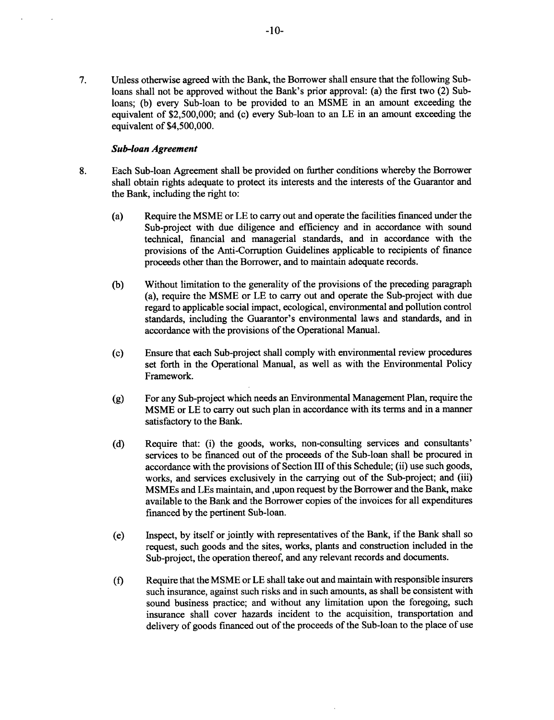**7.** Unless otherwise agreed with the Bank, the Borrower shall ensure that the following Subloans shall not be approved without the Bank's prior approval: (a) the first two (2) Subloans; **(b)** every Sub-loan to be provided to an **MSME** in an amount exceeding the equivalent of **\$2,500,000;** and (c) every Sub-loan to an **LE** in an amount exceeding the equivalent of *\$4,500,000.*

#### *Sub-loan Agreement*

- **8.** Each Sub-loan Agreement shall be provided on further conditions whereby the Borrower shall obtain rights adequate to protect its interests and the interests of the Guarantor and the Bank, including the right to:
	- (a) Require the **MSME** or **LE** to carry out and operate the facilities financed under the Sub-project with due diligence and efficiency and in accordance with sound technical, financial and managerial standards, and in accordance with the provisions of the Anti-Corruption Guidelines applicable to recipients of finance proceeds other than the Borrower, and to maintain adequate records.
	- **(b)** Without limitation to the generality of the provisions of the preceding paragraph (a), require the **MSME** or **LE** to carry out and operate the Sub-project with due regard to applicable social impact, ecological, environmental and pollution control standards, including the Guarantor's environmental laws and standards, and in accordance with the provisions of the Operational Manual.
	- **(c)** Ensure that each Sub-project shall comply with environmental review procedures set forth in the Operational Manual, as well as with the Environmental Policy Framework.
	- **(g)** For any Sub-project which needs an Environmental Management Plan, require the **MSME** or **LE** to carry out such plan in accordance with its terms and in a manner satisfactory to the Bank.
	- **(d)** Require that: (i) the goods, works, non-consulting services and consultants' services to be financed out of the proceeds of the Sub-loan shall be procured in accordance with the provisions of Section **III** of this Schedule; (ii) use such goods, works, and services exclusively in the carrying out of the Sub-project; and (iii) MSMEs and LEs maintain, and ,upon request **by** the Borrower and the Bank, make available to the Bank and the Borrower copies of the invoices for all expenditures financed **by** the pertinent Sub-loan.
	- (e) Inspect, **by** itself or jointly with representatives of the Bank, if the Bank shall so request, such goods and the sites, works, plants and construction included in the Sub-project, the operation thereof, and any relevant records and documents.
	- **(f)** Require that the **MSME** or **LE** shall take out and maintain with responsible insurers such insurance, against such risks and in such amounts, as shall be consistent with sound business practice; and without any limitation upon the foregoing, such insurance shall cover hazards incident to the acquisition, transportation and delivery of goods financed out of the proceeds of the Sub-loan to the place of use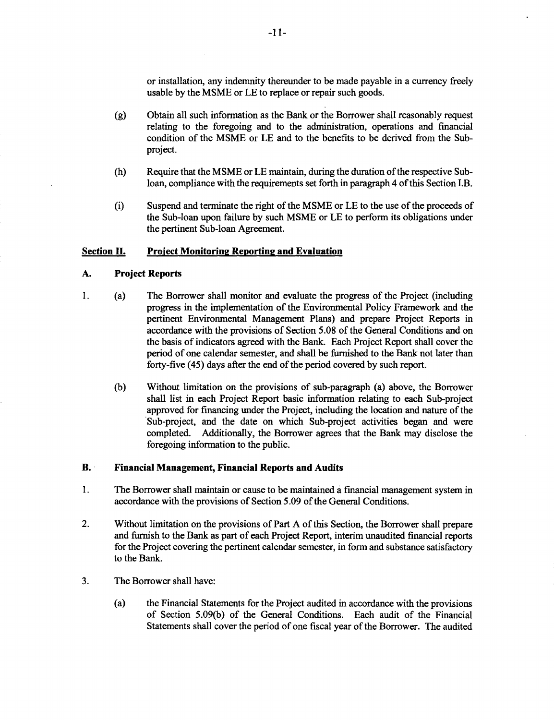or installation, any indemnity thereunder to be made payable in a currency freely usable **by** the **MSME** or **LE** to replace or repair such goods.

- **(g)** Obtain all such information as the Bank or the Borrower shall reasonably request relating to the foregoing and to the administration, operations and financial condition of the **MSME** or **LE** and to the benefits to be derived from the Subproject.
- (h) Require that the **MSME** or **LE** maintain, during the duration of the respective Subloan, compliance with the requirements set forth in paragraph 4 of this Section I.B.
- (i) Suspend and terminate the right of the **MSME** or **LE** to the use of the proceeds of the Sub-loan upon failure **by** such **MSME** or **LE** to perform its obligations under the pertinent Sub-loan Agreement.

#### **Section II.** Project Monitoring Reporting and Evaluation

#### **A.** Project Reports

- **1.** (a) The Borrower shall monitor and evaluate the progress of the Project (including progress in the implementation of the Environmental Policy Framework and the pertinent Environmental Management Plans) and prepare Project Reports in accordance with the provisions of Section **5.08** of the General Conditions and on the basis of indicators agreed with the Bank. Each Project Report shall cover the period of one calendar semester, and shall be furnished to the Bank not later than forty-five *(45)* days after the end of the period covered **by** such report.
	- **(b)** Without limitation on the provisions of sub-paragraph (a) above, the Borrower shall list in each Project Report basic information relating to each Sub-project approved for financing under the Project, including the location and nature of the Sub-project, and the date on which Sub-project activities began and were completed. Additionally, the Borrower agrees that the Bank may disclose the foregoing information to the public.

#### B. **Financial Management, Financial Reports and Audits**

- 1 **.** The Borrower shall maintain or cause to be maintained a financial management system in accordance with the provisions of Section *5.09* of the General Conditions.
- 2. Without limitation on the provisions of Part A of this Section, the Borrower shall prepare and furnish to the Bank as part of each Project Report, interim unaudited financial reports for the Project covering the pertine
- **3.** The Borrower shall have:
	- (a) the Financial Statements for the Project audited in accordance with the provisions of Section *5.09(b)* of the General Conditions. Each audit of the Financial Statements shall cover the period of one fiscal year of the Borrower. The audited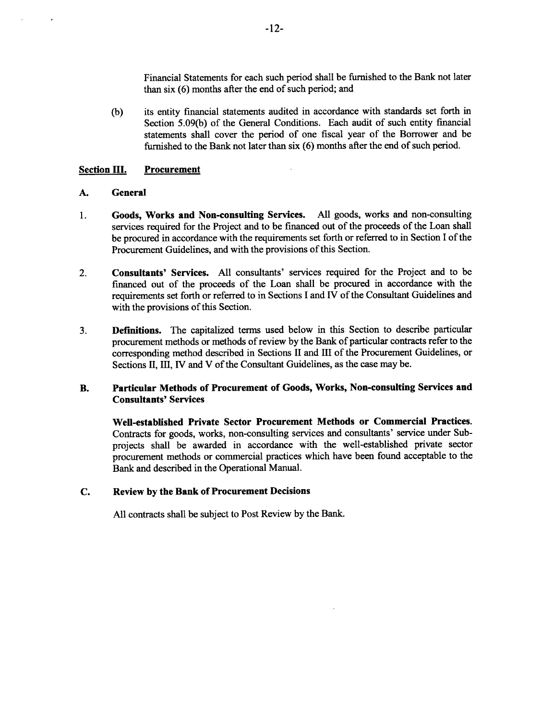Financial Statements for each such period shall be furnished to the Bank not later than six **(6)** months after the end of such period; and

**(b)** its entity financial statements audited in accordance with standards set forth in Section *5.09(b)* of the General Conditions. Each audit of such entity financial statements shall cover the period of one fiscal year of the Borrower and be furnished to the Bank not later than six **(6)** months after the end of such period.

#### **Section III.** Procurement

#### **A.** General

- 1 **.** Goods, Works and Non-consulting Services. **All** goods, works and non-consulting services required for the Project and to be financed out of the proceeds of the Loan shall be procured in accordance with the requirements set forth or referred to in Section **I** of the Procurement Guidelines, and with the provisions of this Section.
- 2. Consultants' Services. **All** consultants' services required for the Project and to be financed out of the proceeds of the Loan shall be procured in accordance with the requirements set forth or referred to in Sections **I** and IV of the Consultant Guidelines and with the provisions of this Section.
- **3. Definitions.** The capitalized terms used below in this Section to describe particular procurement methods or methods of review **by** the Bank of particular contracts refer to the corresponding method described in Sections II and **III** of the Procurement Guidelines, or Sections II, III, IV and V of the Consultant Guidelines, as the case may be.

#### B. **Particular Methods of Procurement of Goods, Works, Non-consulting Services and Consultants' Services**

**Well-established Private Sector Procurement Methods or Commercial Practices.** Contracts for goods, works, non-consulting services and consultants' service under Subprojects shall be awarded in accordance with the well-established private sector procurement methods or commercial practices which have been found acceptable to the Bank and described in the Operational Manual.

#### **C. Review by the Bank of Procurement Decisions**

**All** contracts shall be subject to Post Review **by** the **Bank.**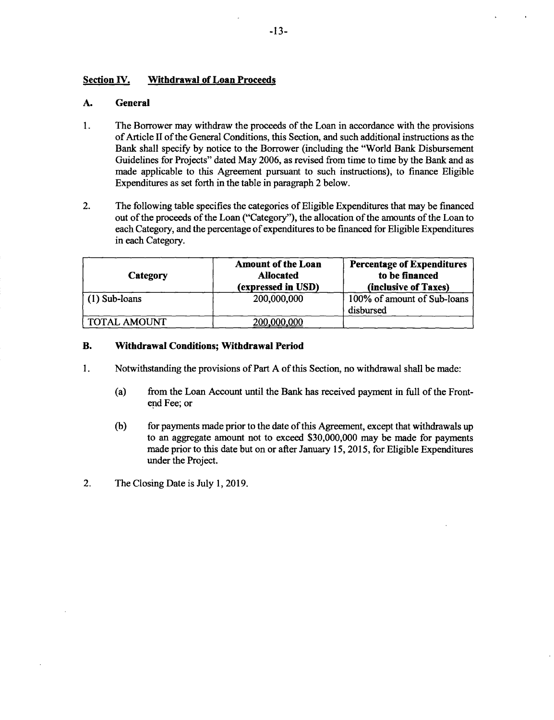#### **Section IV. Withdrawal of Loan Proceeds**

#### **A. General**

- 1. The Borrower may withdraw the proceeds of the Loan in accordance with the provisions<br>of Article II of the General Conditions, this Section, and such additional instructions as the<br>Bank shall specify by notice to the Bor Guidelines for Projects" dated May 2006, as revised from time to time by the Bank and as made applicable to this Agreement pursuant to such instructions), to finance Eligible Expenditures as set forth in the table in parag
- 2. The following table specifies the categories of Eligible Expenditures that may be financed out of the proceeds of the Loan ("Category"), the allocation of the amounts of the Loan to each Category, and the percentage of expenditures to be financed for Eligible Expenditures in each Category.

| Category            | <b>Amount of the Loan</b><br><b>Allocated</b><br>(expressed in USD) | <b>Percentage of Expenditures</b><br>to be financed<br>(inclusive of Taxes) |
|---------------------|---------------------------------------------------------------------|-----------------------------------------------------------------------------|
| $(1)$ Sub-loans     | 200,000,000                                                         | 100% of amount of Sub-loans<br>disbursed                                    |
| <b>TOTAL AMOUNT</b> | 200,000,000                                                         |                                                                             |

#### B. Withdrawal Conditions; **Withdrawal Period**

- **I.** Notwithstanding the provisions of Part **A** of this Section, no withdrawal shall be made:
	- (a) from the Loan Account until the Bank has received payment in full of the Front- end Fee; or
	- (b) for payments made prior to the date of this Agreement, except that withdrawals up to an aggregate amount not to exceed \$30,000,000 may be made for payments made prior to this date but on or after January 15, 2015, for
- 2. The Closing Date is July **1, 2019.**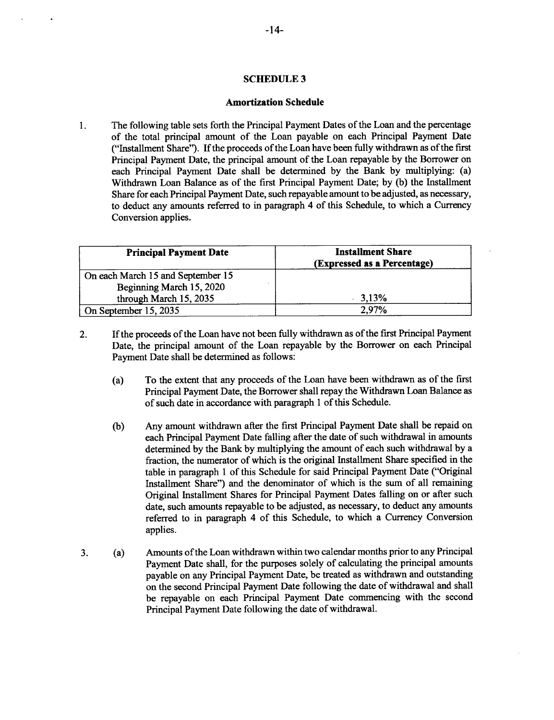#### **SCHEDULE 3**

#### **Amortization Schedule**

The following table sets forth the Principal Payment Dates of the Loan and the percentage  $\mathbf{1}$ of the total principal amount of the Loan payable on each Principal Payment Date ("Installment Share"). **If** the proceeds of the Loan have been fully withdrawn as of the first Principal Payment Date, the principal amount of the Loan repayable **by** the Borrower on each Principal Payment Date shall be determined **by** the Bank **by** multiplying: (a) Withdrawn Loan Balance as of the first Principal Payment Date; **by (b)** the Installment Share for each Principal Payment Date, such repayable amount to be adjusted, as necessary, to deduct any amounts referred to in paragraph 4 of this Schedule, to which a Currency Conversion applies.

| <b>Principal Payment Date</b>     | <b>Installment Share</b><br>(Expressed as a Percentage) |
|-----------------------------------|---------------------------------------------------------|
| On each March 15 and September 15 |                                                         |
| Beginning March 15, 2020          |                                                         |
| through March 15, 2035            | 3,13%                                                   |
| On September 15, 2035             | 2.97%                                                   |

- 2. **If** the proceeds of the Loan have not been fully withdrawn as of the first Principal Payment Date, the principal amount of the Loan repayable **by** the Borrower on each Principal Payment Date shall be determined as follows:
	- (a) To the extent that any proceeds of the Loan have been withdrawn as of the first Principal Payment Date, the Borrower shall repay the Withdrawn Loan Balance as of such date in accordance with paragraph 1 of this Schedule.
	- **(b)** Any amount withdrawn after the first Principal Payment Date shall be repaid on each Principal Payment Date falling after the date of such withdrawal in amounts determined **by** the Bank **by** multiplying the amount of each such withdrawal **by** a fraction, the numerator of which is the original Installment Share specified in the table in paragraph 1 of this Schedule for said Principal Payment Date ("Original Installment Share") and the denominator of which is the sum of all remaining Original Installment Shares for Principal Payment Dates falling on or after such date, such amounts repayable to be adjusted, as necessary, to deduct any amounts referred to in paragraph 4 of this Schedule, to which a Currency Conversion applies.
- **3.** (a) Amounts of the Loan withdrawn within two calendar months prior to any Principal Payment Date shall, for the purposes solely of calculating the principal amounts payable on any Principal Payment Date, be treated as withdrawn and outstanding on the second Principal Payment Date following the date of withdrawal and shall be repayable on each Principal Payment Date commencing with the second Principal Payment Date following the date of withdrawal.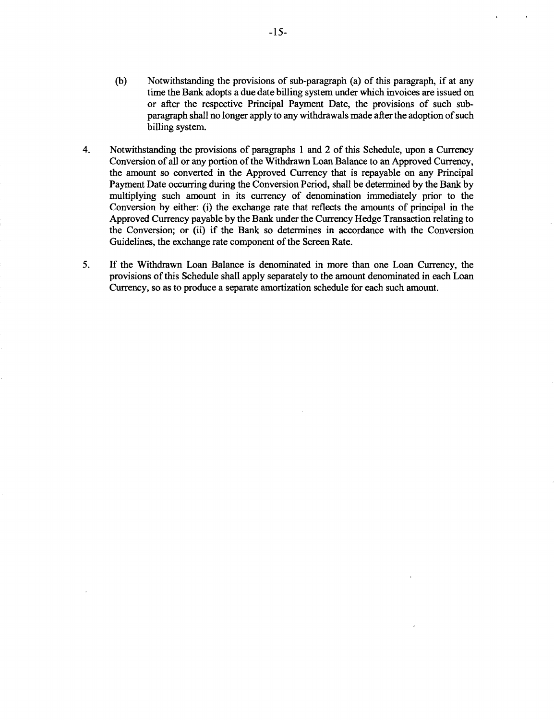- **(b)** Notwithstanding the provisions of sub-paragraph (a) of this paragraph, if at any time the Bank adopts a due date billing system under which invoices are issued on or after the respective Principal Payment Date, the provisions of such subparagraph shall no longer apply to any withdrawals made after the adoption of such billing system.
- 4. Notwithstanding the provisions of paragraphs 1 and 2 of this Schedule, upon a Currency Conversion of all or any portion of the Withdrawn Loan Balance to an Approved Currency, the amount so converted in the Approved Curr the Conversion; or (ii) if the Bank so determines in accordance with the Conversion Guidelines, the exchange rate component of the Screen Rate.
- *5.* **If** the Withdrawn Loan Balance is denominated in more than one Loan Currency, the provisions of this Schedule shall apply separately to the amount denominated in each Loan Currency, so as to produce a separate amortization schedule for each such amount.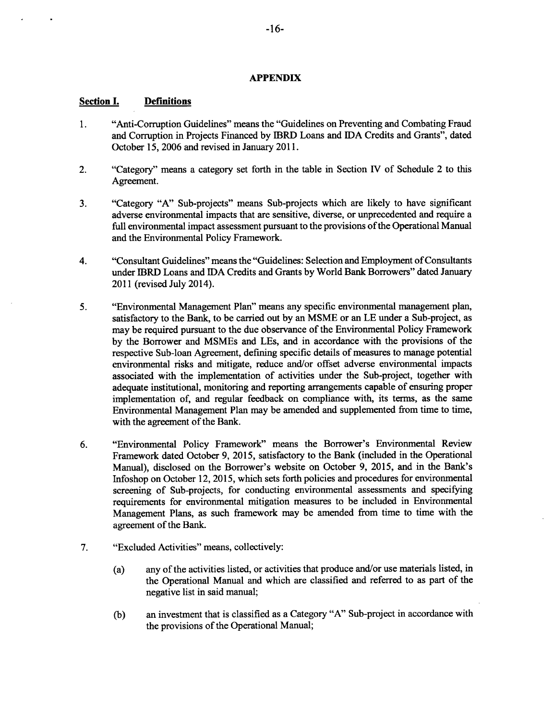#### **APPENDIX**

#### **Section I. Definitions**

- 1. "Anti-Corruption Guidelines" means the "Guidelines on Preventing and Combating Fraud and Corruption in Projects Financed **by** IBRD Loans and **IDA** Credits and Grants", dated October **15, 2006** and revised in January **2011.**
- 2. "Category" means a category set forth in the table in Section IV of Schedule 2 to this Agreement.
- **3.** "Category **"A"** Sub-projects" means Sub-projects which are likely to have significant adverse environmental impacts that are sensitive, diverse, or unprecedented and require a full environmental impact assessment pursuant to the provisions of the Operational Manual and the Environmental Policy Framework.
- 4. "Consultant Guidelines" means the "Guidelines: Selection and Employment of Consultants under IBRD Loans and **IDA** Credits and Grants **by** World Bank Borrowers" dated January 2011 (revised July 2014).
- *5.* "Environmental Management Plan" means any specific environmental management plan, satisfactory to the Bank, to be carried out **by** an **MSME** or an **LE** under a Sub-project, as may be required pursuant to the due observance of the Environmental Policy Framework **by** the Borrower and MSMEs and LEs, and in accordance with the provisions of the respective Sub-loan Agreement, defining specific details of measures to manage potential environmental risks and mitigate, reduce and/or offset adverse environmental impacts associated with the implementation of activities under the Sub-project, together with adequate institutional, monitoring and reporting arrangements capable of ensuring proper implementation of, and regular feedback on compliance with, its terms, as the same Environmental Management Plan may be amended and supplemented from time to time, with the agreement of the Bank.
- **6.** "Environmental Policy Framework" means the Borrower's Environmental Review Framework dated October **9, 2015,** satisfactory to the Bank (included in the Operational Manual), disclosed on the Borrower's website on October **9, 2015,** and in the Bank's Infoshop on October 12, **2015,** which sets forth policies and procedures for environmental screening of Sub-projects, for conducting environmental assessments and specifying requirements for environmental mitigation measures to be included in Environmental Management Plans, as such framework may be amended from time to time with the agreement of the Bank.
- **7.** "Excluded Activities" means, collectively:
	- (a) any of the activities listed, or activities that produce and/or use materials listed, in the Operational Manual and which are classified and referred to as part of the negative list in said manual;
	- **(b)** an investment that is classified as a Category **"A"** Sub-project in accordance with the provisions of the Operational Manual;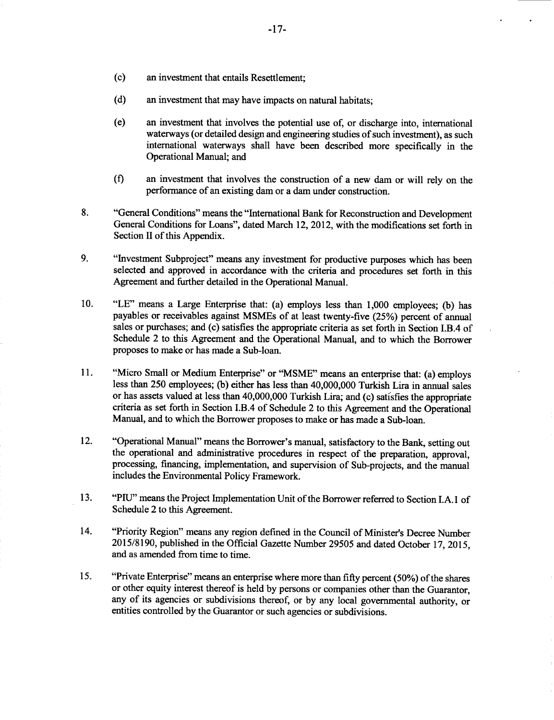- (c) an investment that entails Resettlement;
- **(d)** an investment that may have impacts on natural habitats;
- (e) an investment that involves the potential use of, or discharge into, international waterways (or detailed design and engineering studies of such investment), as such international waterways shall have been described more specifically in the Operational Manual; and
- **(f)** an investment that involves the construction of a new dam or will rely on the performance of an existing dam or a dam under construction.
- **8.** "General Conditions" means the "International Bank for Reconstruction and Development General Conditions for Loans", dated March 12, 2012, with the modifications set forth in Section II of this Appendix.
- **9.** "Investment Subproject" means any investment for productive purposes which has been selected and approved in accordance with the criteria and procedures set forth in this Agreement and further detailed in the Operational Manual.
- **10. "LE"** means a Large Enterprise that: (a) employs less than **1,000** employees; **(b)** has payables or receivables against MSMEs of at least twenty-five *(25%)* percent of annual sales or purchases; and (c) satisfies the appropriate criteria as set forth in Section I.B.4 of Schedule 2 to this Agreement and the Operational Manual, and to which the Borrower proposes to make or has made a Sub-loan.
- **11.** "Micro Small or Medium Enterprise" or "MSME" means an enterprise that: (a) employs less than **250** employees; **(b)** either has less than 40,000,000 Turkish Lira in annual sales or has assets valued at less than 40,000,000 Turkish Lira; and (c) satisfies the appropriate criteria as set forth in Section I.B.4 of Schedule 2 to this Agreement and the Operational Manual, and to which the Borrower proposes to make or has made a Sub-loan.
- 12. "Operational Manual" means the Borrower's manual, satisfactory to the Bank, setting out the operational and administrative procedures in respect of the preparation, approval, processing, financing, implementation, and supervision of Sub-projects, and the manual includes the Environmental Policy Framework.
- **13. "PIU"** means the Project Implementation Unit of the Borrower referred to Section I.A.1 of Schedule 2 to this Agreement.
- 14. "Priority Region" means any region defined in the Council of Minister's Decree Number **2015/8190,** published in the Official Gazette Number **29505** and dated October **17, 2015,** and as amended from time to time.
- *15.* "Private Enterprise" means an enterprise where more than **fifty** percent *(50%)* of the shares or other equity interest thereof is held **by** persons or companies other than the Guarantor, any of its agencies or subdivisions thereof, or **by** any local governmental authority, or entities controlled **by** the Guarantor or such agencies or subdivisions.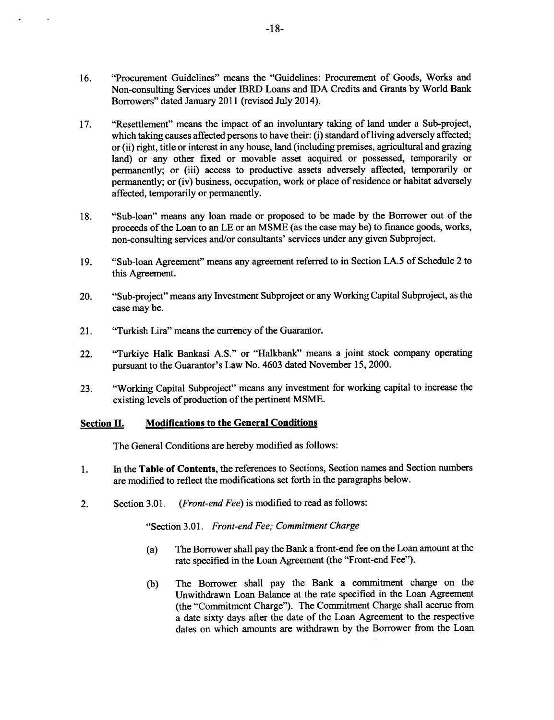- **16.** "Procurement Guidelines" means the "Guidelines: Procurement of Goods, Works and Non-consulting Services under IBRD Loans and **IDA** Credits and Grants **by** World Bank Borrowers" dated January 2011 (revised July 2014).
- **17.** "Resettlement" means the impact of an involuntary taking of land under a Sub-project, which taking causes affected persons to have their: (i) standard of living adversely affected; or (ii) right, title or interest in any house, land (including premises, agricultural and grazing land) or any other fixed or movable asset acquired or possessed, temporarily or permanently; or (iii) access to productive assets adversely affected, temporarily or permanently; or (iv) business, occupation, work or place of residence or habitat adversely affected, temporarily or permanently.
- **18.** "Sub-loan" means any loan made or proposed to be made **by** the Borrower out of the proceeds of the Loan to an **LE** or an **MSME** (as the case may be) to finance goods, works, non-consulting services and/or consultants' services under any given Subproject.
- **19.** "Sub-loan Agreement" means any agreement referred to in Section **I.A.5** of Schedule 2 to this Agreement.
- 20. "Sub-project" means any Investment Subproject or any Working Capital Subproject, as the case may be.
- 21. "Turkish Lira" means the currency of the Guarantor.
- 22. "Turkiye Halk Bankasi **A.S."** or "Halkbank" means a joint stock company operating pursuant to the Guarantor's Law No. 4603 dated November *15,* 2000.
- **23.** "Working Capital Subproject" means any investment for working capital to increase the existing levels of production of the pertinent **MSME.**

#### Section **H. Modifications to the General Conditions**

The General Conditions are hereby modified as follows:

- **1.** In the **Table of Contents,** the references to Sections, Section names and Section numbers are modified to reflect the modifications set forth in the paragraphs below.
- 2. Section **3.01.** *(Front-end Fee)* is modified to read as follows:

"Section 3.01. *Front-end Fee; Commitment Charge*

- (a) The Borrower shall pay the Bank a front-end fee on the Loan amount at the rate specified in the Loan Agreement (the "Front-end Fee").
- **(b)** The Borrower shall pay the Bank a commitment charge on the Unwithdrawn Loan Balance at the rate specified in the Loan Agreement (the "Commitment Charge"). The Commitment Charge shall accrue from a date sixty days after the date of the Loan Agreement to the respective dates on which amounts are withdrawn **by** the Borrower from the Loan